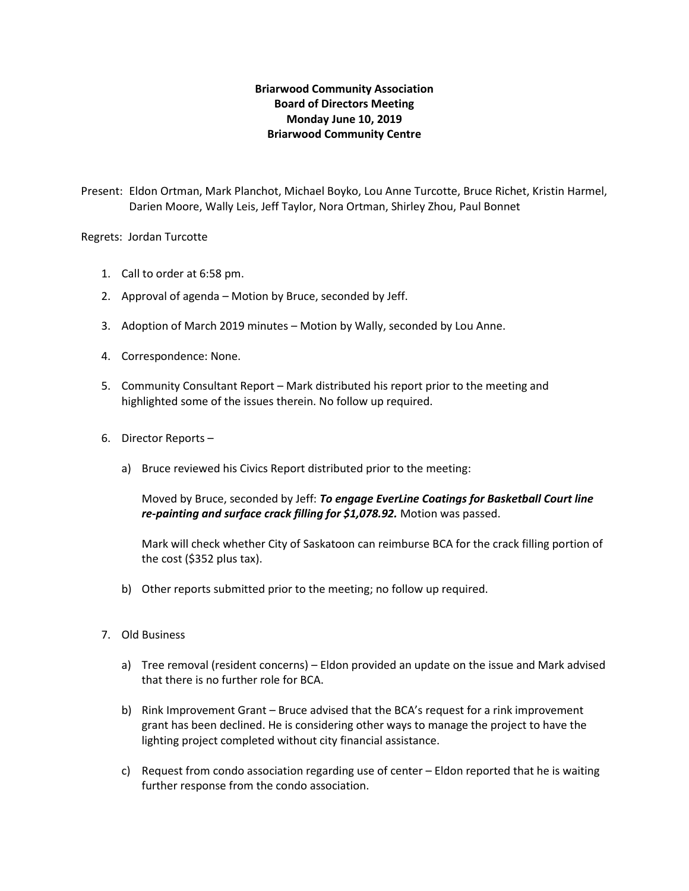## **Briarwood Community Association Board of Directors Meeting Monday June 10, 2019 Briarwood Community Centre**

Present: Eldon Ortman, Mark Planchot, Michael Boyko, Lou Anne Turcotte, Bruce Richet, Kristin Harmel, Darien Moore, Wally Leis, Jeff Taylor, Nora Ortman, Shirley Zhou, Paul Bonnet

Regrets: Jordan Turcotte

- 1. Call to order at 6:58 pm.
- 2. Approval of agenda Motion by Bruce, seconded by Jeff.
- 3. Adoption of March 2019 minutes Motion by Wally, seconded by Lou Anne.
- 4. Correspondence: None.
- 5. Community Consultant Report Mark distributed his report prior to the meeting and highlighted some of the issues therein. No follow up required.
- 6. Director Reports
	- a) Bruce reviewed his Civics Report distributed prior to the meeting:

Moved by Bruce, seconded by Jeff: *To engage EverLine Coatings for Basketball Court line re-painting and surface crack filling for \$1,078.92.* Motion was passed.

Mark will check whether City of Saskatoon can reimburse BCA for the crack filling portion of the cost (\$352 plus tax).

- b) Other reports submitted prior to the meeting; no follow up required.
- 7. Old Business
	- a) Tree removal (resident concerns) Eldon provided an update on the issue and Mark advised that there is no further role for BCA.
	- b) Rink Improvement Grant Bruce advised that the BCA's request for a rink improvement grant has been declined. He is considering other ways to manage the project to have the lighting project completed without city financial assistance.
	- c) Request from condo association regarding use of center Eldon reported that he is waiting further response from the condo association.